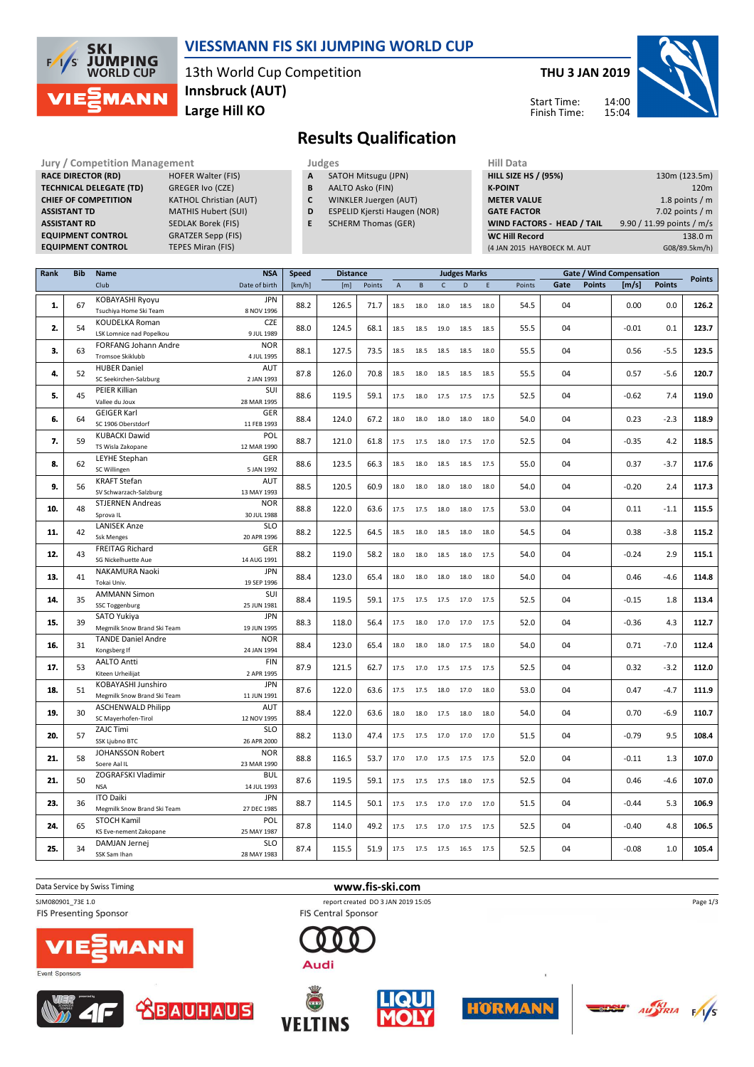

### **VIESSMANN FIS SKI JUMPING WORLD CUP**

13th World Cup Competition **Large Hill KO Innsbruck (AUT)**

**THU 3 JAN 2019**

Start Time: Finish Time:



**Results Qualification**

**Jury / Competition Management Management According Service Computer** Judges Mill Data **RACE DIRECTOR (RD) HOFER Walter (FIS) TECHNICAL DELEGATE (TD)** GREGER Ivo (CZE) **CHIEF OF COMPETITION** KATHOL Christian (AUT) **ASSISTANT TD** MATHIS Hubert (SUI) **ASSISTANT RD** SEDLAK Borek (FIS)<br>**EQUIPMENT CONTROL** GRATZER Sepp (FIS) **EQUIPMENT CONTROL** 

**EQUIPMENT CONTROL TEPES Miran (FIS)** 

- **A** SATOH Mitsugu (JPN)
- **B** AALTO Asko (FIN)
- **C** WINKLER Juergen (AUT)
- **D** ESPELID Kjersti Haugen (NOR)
- **E** SCHERM Thomas (GER)

| .                                 |                           |
|-----------------------------------|---------------------------|
| <b>HILL SIZE HS / (95%)</b>       | 130m (123.5m)             |
| <b>K-POINT</b>                    | 120 <sub>m</sub>          |
| <b>METER VALUE</b>                | 1.8 points $/m$           |
| <b>GATE FACTOR</b>                | 7.02 points $/m$          |
| <b>WIND FACTORS - HEAD / TAIL</b> | 9.90 / 11.99 points / m/s |
| <b>WC Hill Record</b>             | 138.0 m                   |
| (4 JAN 2015 HAYBOECK M. AUT       | G08/89.5km/h)             |
|                                   |                           |

| Rank | <b>Bib</b> | Name                                              | <b>NSA</b>                | <b>Speed</b> | <b>Distance</b> |        |                |                     |                | <b>Judges Marks</b> |      |        |      |               | <b>Gate / Wind Compensation</b> |               | <b>Points</b> |
|------|------------|---------------------------------------------------|---------------------------|--------------|-----------------|--------|----------------|---------------------|----------------|---------------------|------|--------|------|---------------|---------------------------------|---------------|---------------|
|      |            | Club                                              | Date of birth             | [km/h]       | [m]             | Points | $\overline{A}$ | B                   | $\mathsf{C}$   | D                   | E    | Points | Gate | <b>Points</b> | [m/s]                           | <b>Points</b> |               |
| 1.   | 67         | KOBAYASHI Ryoyu<br>Tsuchiya Home Ski Team         | <b>JPN</b><br>8 NOV 1996  | 88.2         | 126.5           | 71.7   | 18.5           | 18.0                | 18.0           | 18.5                | 18.0 | 54.5   | 04   |               | 0.00                            | 0.0           | 126.2         |
| 2.   | 54         | KOUDELKA Roman<br>LSK Lomnice nad Popelkou        | <b>CZE</b><br>9 JUL 1989  | 88.0         | 124.5           | 68.1   | 18.5           | 18.5                | 19.0           | 18.5                | 18.5 | 55.5   | 04   |               | $-0.01$                         | 0.1           | 123.7         |
| 3.   | 63         | FORFANG Johann Andre<br><b>Tromsoe Skiklubb</b>   | <b>NOR</b><br>4 JUL 1995  | 88.1         | 127.5           | 73.5   | 18.5           | 18.5                | 18.5           | 18.5                | 18.0 | 55.5   | 04   |               | 0.56                            | $-5.5$        | 123.5         |
| 4.   | 52         | <b>HUBER Daniel</b><br>SC Seekirchen-Salzburg     | AUT<br>2 JAN 1993         | 87.8         | 126.0           | 70.8   | 18.5           | 18.0                | 18.5           | 18.5                | 18.5 | 55.5   | 04   |               | 0.57                            | $-5.6$        | 120.7         |
| 5.   | 45         | PEIER Killian<br>Vallee du Joux                   | SUI<br>28 MAR 1995        | 88.6         | 119.5           | 59.1   | 17.5           | 18.0                | 17.5           | 17.5                | 17.5 | 52.5   | 04   |               | $-0.62$                         | 7.4           | 119.0         |
| 6.   | 64         | <b>GEIGER Karl</b><br>SC 1906 Oberstdorf          | GER<br>11 FEB 1993        | 88.4         | 124.0           | 67.2   | 18.0           | 18.0                | 18.0           | 18.0                | 18.0 | 54.0   | 04   |               | 0.23                            | $-2.3$        | 118.9         |
| 7.   | 59         | <b>KUBACKI Dawid</b><br>TS Wisla Zakopane         | POL<br>12 MAR 1990        | 88.7         | 121.0           | 61.8   | 17.5           | 17.5                | 18.0           | 17.5                | 17.0 | 52.5   | 04   |               | $-0.35$                         | 4.2           | 118.5         |
| 8.   | 62         | LEYHE Stephan<br>SC Willingen                     | GER<br>5 JAN 1992         | 88.6         | 123.5           | 66.3   | 18.5           | 18.0                | 18.5           | 18.5                | 17.5 | 55.0   | 04   |               | 0.37                            | $-3.7$        | 117.6         |
| 9.   | 56         | <b>KRAFT Stefan</b><br>SV Schwarzach-Salzburg     | <b>AUT</b><br>13 MAY 1993 | 88.5         | 120.5           | 60.9   | 18.0           |                     | 18.0 18.0      | 18.0                | 18.0 | 54.0   | 04   |               | $-0.20$                         | 2.4           | 117.3         |
| 10.  | 48         | <b>STJERNEN Andreas</b><br>Sprova IL              | <b>NOR</b><br>30 JUL 1988 | 88.8         | 122.0           | 63.6   | 17.5           | 17.5                | 18.0           | 18.0                | 17.5 | 53.0   | 04   |               | 0.11                            | $-1.1$        | 115.5         |
| 11.  | 42         | <b>LANISEK Anze</b><br><b>Ssk Menges</b>          | <b>SLO</b><br>20 APR 1996 | 88.2         | 122.5           | 64.5   | 18.5           | 18.0                | 18.5           | 18.0                | 18.0 | 54.5   | 04   |               | 0.38                            | $-3.8$        | 115.2         |
| 12.  | 43         | <b>FREITAG Richard</b><br>SG Nickelhuette Aue     | GER<br>14 AUG 1991        | 88.2         | 119.0           | 58.2   | 18.0           | 18.0                | 18.5           | 18.0                | 17.5 | 54.0   | 04   |               | $-0.24$                         | 2.9           | 115.1         |
| 13.  | 41         | NAKAMURA Naoki<br>Tokai Univ.                     | <b>JPN</b><br>19 SEP 1996 | 88.4         | 123.0           | 65.4   | 18.0           | 18.0                | 18.0           | 18.0                | 18.0 | 54.0   | 04   |               | 0.46                            | $-4.6$        | 114.8         |
| 14.  | 35         | <b>AMMANN Simon</b><br>SSC Toggenburg             | SUI<br>25 JUN 1981        | 88.4         | 119.5           | 59.1   | 17.5           | 17.5                | 17.5           | 17.0                | 17.5 | 52.5   | 04   |               | $-0.15$                         | 1.8           | 113.4         |
| 15.  | 39         | SATO Yukiya<br>Megmilk Snow Brand Ski Team        | <b>JPN</b><br>19 JUN 1995 | 88.3         | 118.0           | 56.4   | 17.5           | 18.0 17.0           |                | 17.0                | 17.5 | 52.0   | 04   |               | $-0.36$                         | 4.3           | 112.7         |
| 16.  | 31         | <b>TANDE Daniel Andre</b><br>Kongsberg If         | <b>NOR</b><br>24 JAN 1994 | 88.4         | 123.0           | 65.4   | 18.0           |                     | 18.0 18.0 17.5 |                     | 18.0 | 54.0   | 04   |               | 0.71                            | $-7.0$        | 112.4         |
| 17.  | 53         | <b>AALTO Antti</b><br>Kiteen Urheilijat           | <b>FIN</b><br>2 APR 1995  | 87.9         | 121.5           | 62.7   | 17.5           | 17.0                | 17.5           | 17.5                | 17.5 | 52.5   | 04   |               | 0.32                            | $-3.2$        | 112.0         |
| 18.  | 51         | KOBAYASHI Junshiro<br>Megmilk Snow Brand Ski Team | <b>JPN</b><br>11 JUN 1991 | 87.6         | 122.0           | 63.6   | 17.5           | 17.5                | 18.0           | 17.0                | 18.0 | 53.0   | 04   |               | 0.47                            | $-4.7$        | 111.9         |
| 19.  | 30         | <b>ASCHENWALD Philipp</b><br>SC Mayerhofen-Tirol  | AUT<br>12 NOV 1995        | 88.4         | 122.0           | 63.6   | 18.0           | 18.0                | 17.5           | 18.0                | 18.0 | 54.0   | 04   |               | 0.70                            | $-6.9$        | 110.7         |
| 20.  | 57         | ZAJC Timi<br>SSK Ljubno BTC                       | <b>SLO</b><br>26 APR 2000 | 88.2         | 113.0           | 47.4   | 17.5           | 17.5                | 17.0           | 17.0                | 17.0 | 51.5   | 04   |               | $-0.79$                         | 9.5           | 108.4         |
| 21.  | 58         | JOHANSSON Robert<br>Soere Aal IL                  | <b>NOR</b><br>23 MAR 1990 | 88.8         | 116.5           | 53.7   | 17.0           |                     | 17.0 17.5 17.5 |                     | 17.5 | 52.0   | 04   |               | $-0.11$                         | 1.3           | 107.0         |
| 21.  | 50         | ZOGRAFSKI Vladimir<br><b>NSA</b>                  | <b>BUL</b><br>14 JUL 1993 | 87.6         | 119.5           | 59.1   | 17.5           | 17.5                | 17.5           | 18.0                | 17.5 | 52.5   | 04   |               | 0.46                            | $-4.6$        | 107.0         |
| 23.  | 36         | <b>ITO Daiki</b><br>Megmilk Snow Brand Ski Team   | <b>JPN</b><br>27 DEC 1985 | 88.7         | 114.5           | 50.1   |                | 17.5 17.5 17.0 17.0 |                |                     | 17.0 | 51.5   | 04   |               | $-0.44$                         | 5.3           | 106.9         |
| 24.  | 65         | <b>STOCH Kamil</b><br>KS Eve-nement Zakopane      | POL<br>25 MAY 1987        | 87.8         | 114.0           | 49.2   | 17.5           | 17.5                | 17.0           | 17.5                | 17.5 | 52.5   | 04   |               | $-0.40$                         | 4.8           | 106.5         |
| 25.  | 34         | DAMJAN Jernej<br>SSK Sam Ihan                     | <b>SLO</b><br>28 MAY 1983 | 87.4         | 115.5           | 51.9   | 17.5           | 17.5 17.5           |                | 16.5                | 17.5 | 52.5   | 04   |               | $-0.08$                         | 1.0           | 105.4         |
|      |            |                                                   |                           |              |                 |        |                |                     |                |                     |      |        |      |               |                                 |               |               |

Data Service by Swiss Timing **www.fis-ski.com**

SJM080901\_73E 1.0 report created DO 3 JAN 2019 15:05

FIS Presenting Sponsor









Audi

**FIS Central Sponsor** 







Page 1/3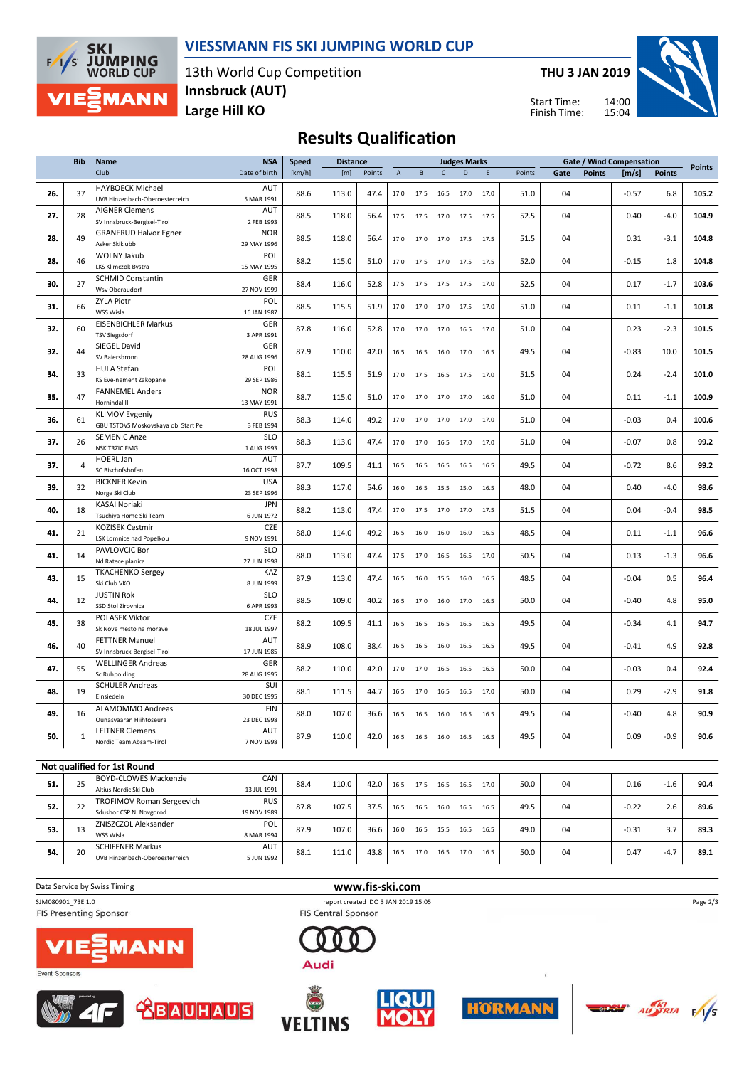

#### **VIESSMANN FIS SKI JUMPING WORLD CUP**

13th World Cup Competition **Large Hill KO Innsbruck (AUT)**

**THU 3 JAN 2019**





## **Results Qualification**

|     | <b>Bib</b>     | <b>Name</b>                                                | <b>NSA</b>               | <b>Speed</b><br><b>Distance</b> |       |        |                           |              |              | <b>Judges Marks</b> |      |        |      |               | Gate / Wind Compensation |               | <b>Points</b> |
|-----|----------------|------------------------------------------------------------|--------------------------|---------------------------------|-------|--------|---------------------------|--------------|--------------|---------------------|------|--------|------|---------------|--------------------------|---------------|---------------|
|     |                | Club                                                       | Date of birth            | [km/h]                          | [m]   | Points | $\boldsymbol{\mathsf{A}}$ | $\, {\bf B}$ | $\mathsf{C}$ | D                   | E    | Points | Gate | <b>Points</b> | [m/s]                    | <b>Points</b> |               |
| 26. | 37             | <b>HAYBOECK Michael</b><br>UVB Hinzenbach-Oberoesterreich  | AUT<br>5 MAR 1991        | 88.6                            | 113.0 | 47.4   | 17.0                      | 17.5         | 16.5         | 17.0                | 17.0 | 51.0   | 04   |               | $-0.57$                  | 6.8           | 105.2         |
| 27. | 28             | <b>AIGNER Clemens</b>                                      | <b>AUT</b>               | 88.5                            | 118.0 | 56.4   | 17.5                      | 17.5         | 17.0         | 17.5                | 17.5 | 52.5   | 04   |               | 0.40                     | $-4.0$        | 104.9         |
|     |                | SV Innsbruck-Bergisel-Tirol                                | 2 FEB 1993<br><b>NOR</b> |                                 |       |        |                           |              |              |                     |      |        |      |               |                          |               |               |
| 28. | 49             | <b>GRANERUD Halvor Egner</b><br>Asker Skiklubb             | 29 MAY 1996              | 88.5                            | 118.0 | 56.4   | 17.0                      | 17.0         | 17.0         | 17.5                | 17.5 | 51.5   | 04   |               | 0.31                     | $-3.1$        | 104.8         |
|     |                | <b>WOLNY Jakub</b>                                         | POL                      |                                 |       |        |                           |              |              |                     |      |        |      |               |                          |               |               |
| 28. | 46             | <b>LKS Klimczok Bystra</b>                                 | 15 MAY 1995              | 88.2                            | 115.0 | 51.0   | 17.0                      |              | 17.5 17.0    | 17.5                | 17.5 | 52.0   | 04   |               | $-0.15$                  | 1.8           | 104.8         |
|     |                | <b>SCHMID Constantin</b>                                   | GER                      |                                 |       |        |                           |              |              |                     |      |        |      |               |                          |               |               |
| 30. | 27             | Wsv Oberaudorf                                             | 27 NOV 1999              | 88.4                            | 116.0 | 52.8   | 17.5                      | 17.5         | 17.5         | 17.5                | 17.0 | 52.5   | 04   |               | 0.17                     | $-1.7$        | 103.6         |
| 31. | 66             | <b>ZYLA Piotr</b>                                          | POL                      | 88.5                            | 115.5 | 51.9   | 17.0                      | 17.0         | 17.0         | 17.5                | 17.0 | 51.0   | 04   |               | 0.11                     | $-1.1$        | 101.8         |
|     |                | WSS Wisla                                                  | 16 JAN 1987              |                                 |       |        |                           |              |              |                     |      |        |      |               |                          |               |               |
| 32. | 60             | <b>EISENBICHLER Markus</b><br><b>TSV Siegsdorf</b>         | GER<br>3 APR 1991        | 87.8                            | 116.0 | 52.8   | 17.0                      | 17.0         | 17.0         | 16.5                | 17.0 | 51.0   | 04   |               | 0.23                     | $-2.3$        | 101.5         |
|     |                | SIEGEL David                                               | GER                      |                                 |       |        |                           |              |              |                     |      |        |      |               |                          |               |               |
| 32. | 44             | SV Baiersbronn                                             | 28 AUG 1996              | 87.9                            | 110.0 | 42.0   | 16.5                      | 16.5         | 16.0         | 17.0                | 16.5 | 49.5   | 04   |               | $-0.83$                  | 10.0          | 101.5         |
|     |                | <b>HULA Stefan</b>                                         | POL                      |                                 |       |        |                           |              |              |                     |      |        |      |               |                          |               |               |
| 34. | 33             | KS Eve-nement Zakopane                                     | 29 SEP 1986              | 88.1                            | 115.5 | 51.9   | 17.0                      | 17.5         | 16.5         | 17.5                | 17.0 | 51.5   | 04   |               | 0.24                     | $-2.4$        | 101.0         |
| 35. | 47             | <b>FANNEMEL Anders</b>                                     | <b>NOR</b>               | 88.7                            | 115.0 | 51.0   | 17.0                      | 17.0         | 17.0         | 17.0                | 16.0 | 51.0   | 04   |               | 0.11                     | $-1.1$        | 100.9         |
|     |                | Hornindal II                                               | 13 MAY 1991              |                                 |       |        |                           |              |              |                     |      |        |      |               |                          |               |               |
| 36. | 61             | <b>KLIMOV Evgeniy</b>                                      | <b>RUS</b>               | 88.3                            | 114.0 | 49.2   | 17.0                      | 17.0         | 17.0         | 17.0                | 17.0 | 51.0   | 04   |               | $-0.03$                  | 0.4           | 100.6         |
|     |                | GBU TSTOVS Moskovskaya obl Start Pe<br><b>SEMENIC Anze</b> | 3 FEB 1994<br><b>SLO</b> |                                 |       |        |                           |              |              |                     |      |        |      |               |                          |               |               |
| 37. | 26             | <b>NSK TRZIC FMG</b>                                       | 1 AUG 1993               | 88.3                            | 113.0 | 47.4   | 17.0                      | 17.0         | 16.5         | 17.0                | 17.0 | 51.0   | 04   |               | $-0.07$                  | 0.8           | 99.2          |
|     |                | <b>HOERL Jan</b>                                           | <b>AUT</b>               |                                 |       |        |                           |              |              |                     |      |        |      |               |                          |               |               |
| 37. | $\overline{4}$ | SC Bischofshofen                                           | 16 OCT 1998              | 87.7                            | 109.5 | 41.1   | 16.5                      | 16.5         | 16.5         | 16.5                | 16.5 | 49.5   | 04   |               | $-0.72$                  | 8.6           | 99.2          |
| 39. | 32             | <b>BICKNER Kevin</b>                                       | <b>USA</b>               | 88.3                            | 117.0 | 54.6   | 16.0                      | 16.5         | 15.5         | 15.0                | 16.5 | 48.0   | 04   |               | 0.40                     | $-4.0$        | 98.6          |
|     |                | Norge Ski Club                                             | 23 SEP 1996              |                                 |       |        |                           |              |              |                     |      |        |      |               |                          |               |               |
| 40. | 18             | <b>KASAI Noriaki</b><br>Tsuchiya Home Ski Team             | <b>JPN</b><br>6 JUN 1972 | 88.2                            | 113.0 | 47.4   | 17.0                      | 17.5         | 17.0         | 17.0                | 17.5 | 51.5   | 04   |               | 0.04                     | $-0.4$        | 98.5          |
|     |                | <b>KOZISEK Cestmir</b>                                     | <b>CZE</b>               |                                 |       |        |                           |              |              |                     |      |        |      |               |                          |               |               |
| 41. | 21             | LSK Lomnice nad Popelkou                                   | 9 NOV 1991               | 88.0                            | 114.0 | 49.2   | 16.5                      | 16.0         | 16.0         | 16.0                | 16.5 | 48.5   | 04   |               | 0.11                     | $-1.1$        | 96.6          |
|     |                | PAVLOVCIC Bor                                              | <b>SLO</b>               |                                 |       |        |                           |              |              |                     |      |        |      |               |                          |               |               |
| 41. | 14             | Nd Ratece planica                                          | 27 JUN 1998              | 88.0                            | 113.0 | 47.4   | 17.5                      | 17.0         | 16.5         | 16.5                | 17.0 | 50.5   | 04   |               | 0.13                     | $-1.3$        | 96.6          |
| 43. | 15             | <b>TKACHENKO Sergey</b>                                    | KAZ                      | 87.9                            | 113.0 | 47.4   | 16.5                      | 16.0         | 15.5         | 16.0                | 16.5 | 48.5   | 04   |               | $-0.04$                  | 0.5           | 96.4          |
|     |                | Ski Club VKO                                               | 8 JUN 1999               |                                 |       |        |                           |              |              |                     |      |        |      |               |                          |               |               |
| 44. | 12             | <b>JUSTIN Rok</b><br>SSD Stol Zirovnica                    | <b>SLO</b><br>6 APR 1993 | 88.5                            | 109.0 | 40.2   | 16.5                      | 17.0         | 16.0         | 17.0                | 16.5 | 50.0   | 04   |               | $-0.40$                  | 4.8           | 95.0          |
|     |                | POLASEK Viktor                                             | <b>CZE</b>               |                                 |       |        |                           |              |              |                     |      |        |      |               |                          |               |               |
| 45. | 38             | Sk Nove mesto na morave                                    | 18 JUL 1997              | 88.2                            | 109.5 | 41.1   | 16.5                      | 16.5         | 16.5         | 16.5                | 16.5 | 49.5   | 04   |               | $-0.34$                  | 4.1           | 94.7          |
|     | 40             | <b>FETTNER Manuel</b>                                      | <b>AUT</b>               | 88.9                            |       | 38.4   |                           |              |              |                     |      |        | 04   |               |                          |               |               |
| 46. |                | SV Innsbruck-Bergisel-Tirol                                | 17 JUN 1985              |                                 | 108.0 |        | 16.5                      | 16.5         | 16.0         | 16.5                | 16.5 | 49.5   |      |               | $-0.41$                  | 4.9           | 92.8          |
| 47. | 55             | <b>WELLINGER Andreas</b>                                   | GER                      | 88.2                            | 110.0 | 42.0   | 17.0                      | 17.0         | 16.5         | 16.5                | 16.5 | 50.0   | 04   |               | $-0.03$                  | 0.4           | 92.4          |
|     |                | <b>Sc Ruhpolding</b>                                       | 28 AUG 1995              |                                 |       |        |                           |              |              |                     |      |        |      |               |                          |               |               |
| 48. | 19             | <b>SCHULER Andreas</b><br>Einsiedeln                       | SUI<br>30 DEC 1995       | 88.1                            | 111.5 | 44.7   | 16.5                      |              | 17.0 16.5    | 16.5                | 17.0 | 50.0   | 04   |               | 0.29                     | $-2.9$        | 91.8          |
|     |                | ALAMOMMO Andreas                                           | <b>FIN</b>               |                                 |       |        |                           |              |              |                     |      |        |      |               |                          |               |               |
| 49. | 16             | Ounasvaaran Hiihtoseura                                    | 23 DEC 1998              | 88.0                            | 107.0 | 36.6   | 16.5                      | 16.5         | 16.0         | 16.5                | 16.5 | 49.5   | 04   |               | $-0.40$                  | 4.8           | 90.9          |
|     |                | <b>LEITNER Clemens</b>                                     | <b>AUT</b>               | 87.9                            | 110.0 | 42.0   | 16.5                      | 16.5         |              | 16.5                | 16.5 |        | 04   |               | 0.09                     | $-0.9$        |               |
| 50. | 1              | Nordic Team Absam-Tirol                                    | 7 NOV 1998               |                                 |       |        |                           |              | 16.0         |                     |      | 49.5   |      |               |                          |               | 90.6          |
|     |                |                                                            |                          |                                 |       |        |                           |              |              |                     |      |        |      |               |                          |               |               |
|     |                | Not qualified for 1st Round                                |                          |                                 |       |        |                           |              |              |                     |      |        |      |               |                          |               |               |
| 51. | 25             | <b>BOYD-CLOWES Mackenzie</b>                               | CAN                      | 88.4                            | 110.0 | 42.0   | 16.5                      | 17.5         | 16.5         | 16.5                | 17.0 | 50.0   | 04   |               | 0.16                     | $-1.6$        | 90.4          |

| .   |    |                                  |             |      |       |      |      |      |      |      |      |      |    |                                                            |        |      |
|-----|----|----------------------------------|-------------|------|-------|------|------|------|------|------|------|------|----|------------------------------------------------------------|--------|------|
| 51. | 25 | <b>BOYD-CLOWES Mackenzie</b>     | CAN         | 88.4 | 110.0 | 42.0 | 16.5 | 17.5 | 16.5 | 16.5 | 17.0 | 50.0 | 04 | 0.16<br>$-0.22$<br>2.6<br>$-0.31$<br>3.7<br>0.47<br>$-4.7$ | $-1.6$ | 90.4 |
|     |    | Altius Nordic Ski Club           | 13 JUL 1991 |      |       |      |      |      |      |      |      |      |    |                                                            |        |      |
| 52. | 22 | <b>TROFIMOV Roman Sergeevich</b> | <b>RUS</b>  | 87.8 | 107.5 | 37.5 | 16.5 | 16.5 | 16.0 | 16.5 | 16.5 | 49.5 | 04 |                                                            |        | 89.6 |
|     |    | Sdushor CSP N. Novgorod          | 19 NOV 1989 |      |       |      |      |      |      |      |      |      |    |                                                            |        |      |
| 53. | 13 | ZNISZCZOL Aleksander             | POL         | 87.9 | 107.0 | 36.6 | 16.0 | 16.5 | 15.5 | 16.5 | 16.5 | 49.0 | 04 |                                                            |        | 89.3 |
|     |    | WSS Wisla                        | 8 MAR 1994  |      |       |      |      |      |      |      |      |      |    |                                                            |        |      |
| 54. | 20 | <b>SCHIFFNER Markus</b>          | <b>AUT</b>  | 88.1 | 111.0 | 43.8 | 16.5 | 17.0 | 16.5 | 17.0 | 16.5 | 50.0 | 04 |                                                            |        | 89.1 |
|     |    | UVB Hinzenbach-Oberoesterreich   | 5 JUN 1992  |      |       |      |      |      |      |      |      |      |    |                                                            |        |      |
|     |    |                                  |             |      |       |      |      |      |      |      |      |      |    |                                                            |        |      |

**Data Service by Swiss Timing WWW.fis-ski.com** 

SJM080901\_73E 1.0 report created DO 3 JAN 2019 15:05<br>FIS Presenting Sponsor FIS Central Sponsor FIS Central Sponsor **FIS Presenting Sponsor** 











Audi





 $\frac{1}{\sqrt{5}}$